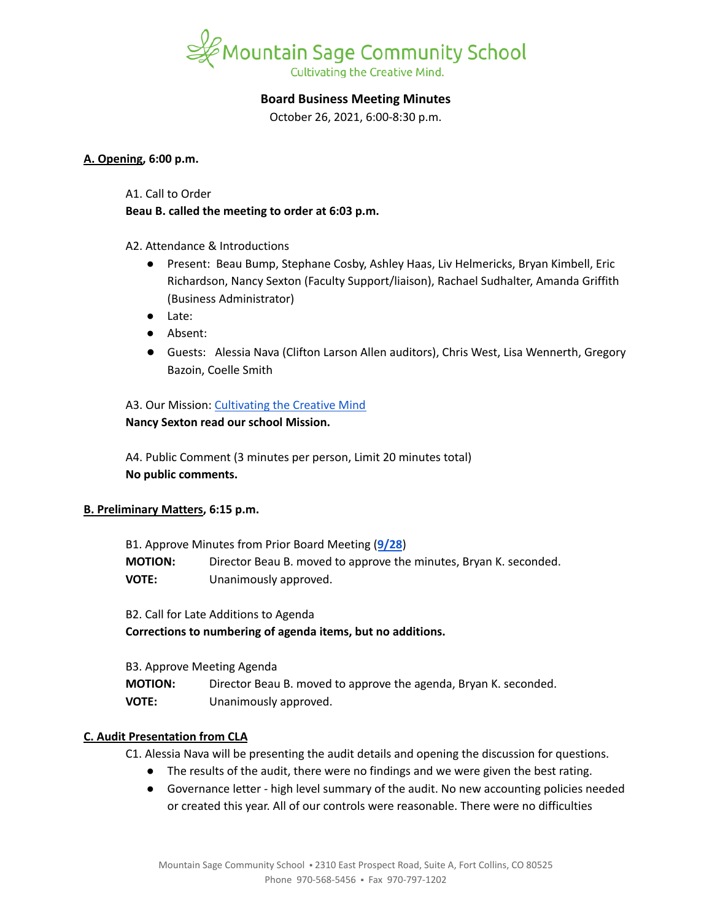

#### **Board Business Meeting Minutes**

October 26, 2021, 6:00-8:30 p.m.

#### **A. Opening, 6:00 p.m.**

A1. Call to Order

**Beau B. called the meeting to order at 6:03 p.m.**

A2. Attendance & Introductions

- Present: Beau Bump, Stephane Cosby, Ashley Haas, Liv Helmericks, Bryan Kimbell, Eric Richardson, Nancy Sexton (Faculty Support/liaison), Rachael Sudhalter, Amanda Griffith (Business Administrator)
- Late:
- Absent:
- Guests: Alessia Nava (Clifton Larson Allen auditors), Chris West, Lisa Wennerth, Gregory Bazoin, Coelle Smith

# A3. Our Mission: [Cultivating](https://www.mountainsage.org/about-us/mission-and-vision/) the Creative Mind

# **Nancy Sexton read our school Mission.**

A4. Public Comment (3 minutes per person, Limit 20 minutes total) **No public comments.**

#### **B. Preliminary Matters, 6:15 p.m.**

| B1. Approve Minutes from Prior Board Meeting (9/28) |                                                                   |
|-----------------------------------------------------|-------------------------------------------------------------------|
| <b>MOTION:</b>                                      | Director Beau B. moved to approve the minutes, Bryan K. seconded. |
| <b>VOTE:</b>                                        | Unanimously approved.                                             |

B2. Call for Late Additions to Agenda

**Corrections to numbering of agenda items, but no additions.**

B3. Approve Meeting Agenda

| <b>MOTION:</b> | Director Beau B. moved to approve the agenda, Bryan K. seconded. |
|----------------|------------------------------------------------------------------|
| <b>VOTE:</b>   | Unanimously approved.                                            |

#### **C. Audit Presentation from CLA**

C1. Alessia Nava will be presenting the audit details and opening the discussion for questions.

- The results of the audit, there were no findings and we were given the best rating.
- Governance letter high level summary of the audit. No new accounting policies needed or created this year. All of our controls were reasonable. There were no difficulties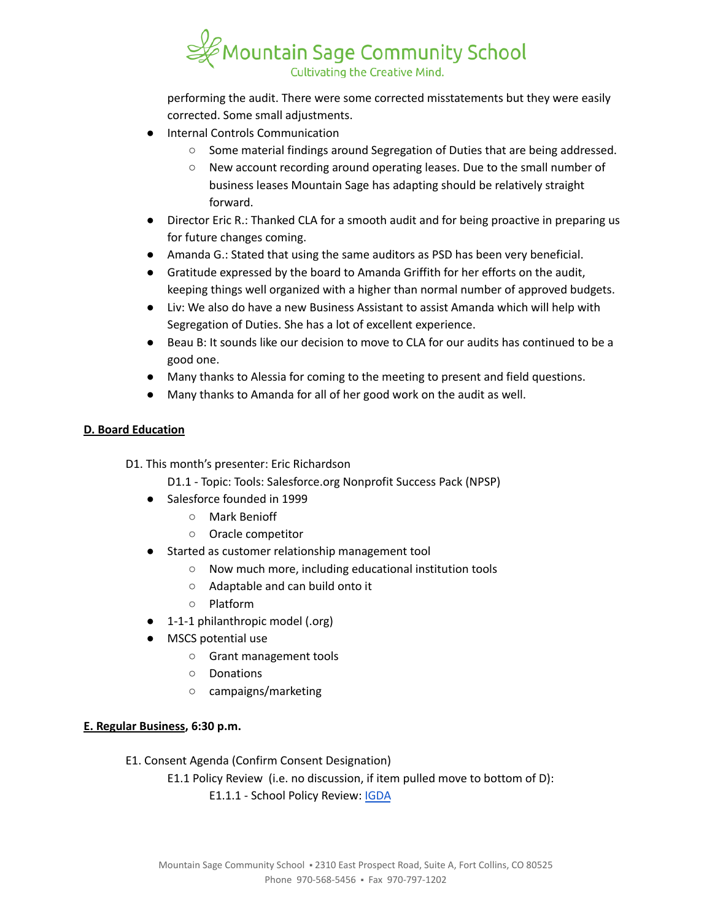

performing the audit. There were some corrected misstatements but they were easily corrected. Some small adjustments.

- **Internal Controls Communication** 
	- Some material findings around Segregation of Duties that are being addressed.
	- New account recording around operating leases. Due to the small number of business leases Mountain Sage has adapting should be relatively straight forward.
- Director Eric R.: Thanked CLA for a smooth audit and for being proactive in preparing us for future changes coming.
- Amanda G.: Stated that using the same auditors as PSD has been very beneficial.
- Gratitude expressed by the board to Amanda Griffith for her efforts on the audit, keeping things well organized with a higher than normal number of approved budgets.
- Liv: We also do have a new Business Assistant to assist Amanda which will help with Segregation of Duties. She has a lot of excellent experience.
- Beau B: It sounds like our decision to move to CLA for our audits has continued to be a good one.
- Many thanks to Alessia for coming to the meeting to present and field questions.
- Many thanks to Amanda for all of her good work on the audit as well.

# **D. Board Education**

- D1. This month's presenter: Eric Richardson
	- D1.1 Topic: Tools: Salesforce.org Nonprofit Success Pack (NPSP)
	- Salesforce founded in 1999
		- Mark Benioff
		- Oracle competitor
	- Started as customer relationship management tool
		- Now much more, including educational institution tools
		- Adaptable and can build onto it
		- Platform
	- 1-1-1 philanthropic model (.org)
	- MSCS potential use
		- Grant management tools
		- Donations
		- campaigns/marketing

#### **E. Regular Business, 6:30 p.m.**

E1. Consent Agenda (Confirm Consent Designation)

E1.1 Policy Review (i.e. no discussion, if item pulled move to bottom of D): E1.1.1 - School Policy Review: [IGDA](https://drive.google.com/open?id=1ONFLsWwDw5QlA0qGKI4D_B0HvphriPoS0YBWOq-vUs0)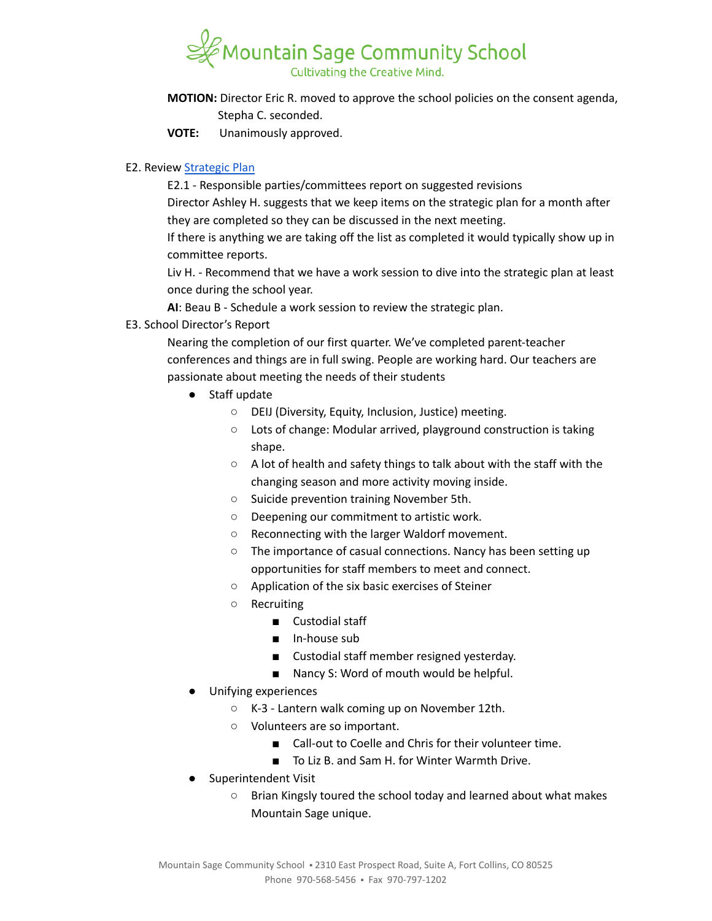# $^\beta$ Mountain Sage Community School Cultivating the Creative Mind.

- **MOTION:** Director Eric R. moved to approve the school policies on the consent agenda, Stepha C. seconded.
- **VOTE:** Unanimously approved.

# E2. Review [Strategic](https://docs.google.com/spreadsheets/d/1RR7z4DQ0Oq8Z29iw-TRpzfxcoDyemB4IFJY4Hpq8Y_k/edit?usp=sharing) Plan

E2.1 - Responsible parties/committees report on suggested revisions Director Ashley H. suggests that we keep items on the strategic plan for a month after they are completed so they can be discussed in the next meeting.

If there is anything we are taking off the list as completed it would typically show up in committee reports.

Liv H. - Recommend that we have a work session to dive into the strategic plan at least once during the school year.

**AI**: Beau B - Schedule a work session to review the strategic plan.

E3. School Director's Report

Nearing the completion of our first quarter. We've completed parent-teacher conferences and things are in full swing. People are working hard. Our teachers are passionate about meeting the needs of their students

- Staff update
	- DEIJ (Diversity, Equity, Inclusion, Justice) meeting.
	- Lots of change: Modular arrived, playground construction is taking shape.
	- A lot of health and safety things to talk about with the staff with the changing season and more activity moving inside.
	- Suicide prevention training November 5th.
	- Deepening our commitment to artistic work.
	- Reconnecting with the larger Waldorf movement.
	- The importance of casual connections. Nancy has been setting up opportunities for staff members to meet and connect.
	- Application of the six basic exercises of Steiner
	- Recruiting
		- Custodial staff
		- In-house sub
		- Custodial staff member resigned yesterday.
		- Nancy S: Word of mouth would be helpful.
- Unifying experiences
	- K-3 Lantern walk coming up on November 12th.
	- Volunteers are so important.
		- Call-out to Coelle and Chris for their volunteer time.
		- To Liz B. and Sam H. for Winter Warmth Drive.
- Superintendent Visit
	- Brian Kingsly toured the school today and learned about what makes Mountain Sage unique.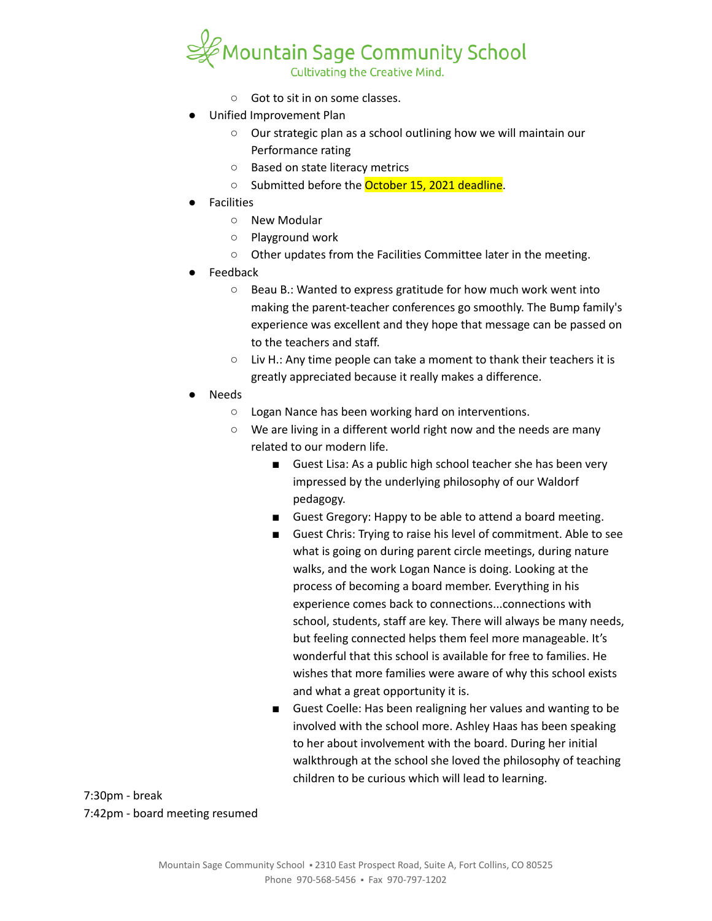

- Got to sit in on some classes.
- Unified Improvement Plan
	- Our strategic plan as a school outlining how we will maintain our Performance rating
	- Based on state literacy metrics
	- Submitted before the October 15, 2021 deadline.
- **Facilities** 
	- New Modular
	- Playground work
	- Other updates from the Facilities Committee later in the meeting.
- **Feedback** 
	- Beau B.: Wanted to express gratitude for how much work went into making the parent-teacher conferences go smoothly. The Bump family's experience was excellent and they hope that message can be passed on to the teachers and staff.
	- Liv H.: Any time people can take a moment to thank their teachers it is greatly appreciated because it really makes a difference.
- **Needs** 
	- Logan Nance has been working hard on interventions.
	- We are living in a different world right now and the needs are many related to our modern life.
		- Guest Lisa: As a public high school teacher she has been very impressed by the underlying philosophy of our Waldorf pedagogy.
		- Guest Gregory: Happy to be able to attend a board meeting.
		- Guest Chris: Trying to raise his level of commitment. Able to see what is going on during parent circle meetings, during nature walks, and the work Logan Nance is doing. Looking at the process of becoming a board member. Everything in his experience comes back to connections...connections with school, students, staff are key. There will always be many needs, but feeling connected helps them feel more manageable. It's wonderful that this school is available for free to families. He wishes that more families were aware of why this school exists and what a great opportunity it is.
		- Guest Coelle: Has been realigning her values and wanting to be involved with the school more. Ashley Haas has been speaking to her about involvement with the board. During her initial walkthrough at the school she loved the philosophy of teaching children to be curious which will lead to learning.

7:30pm - break 7:42pm - board meeting resumed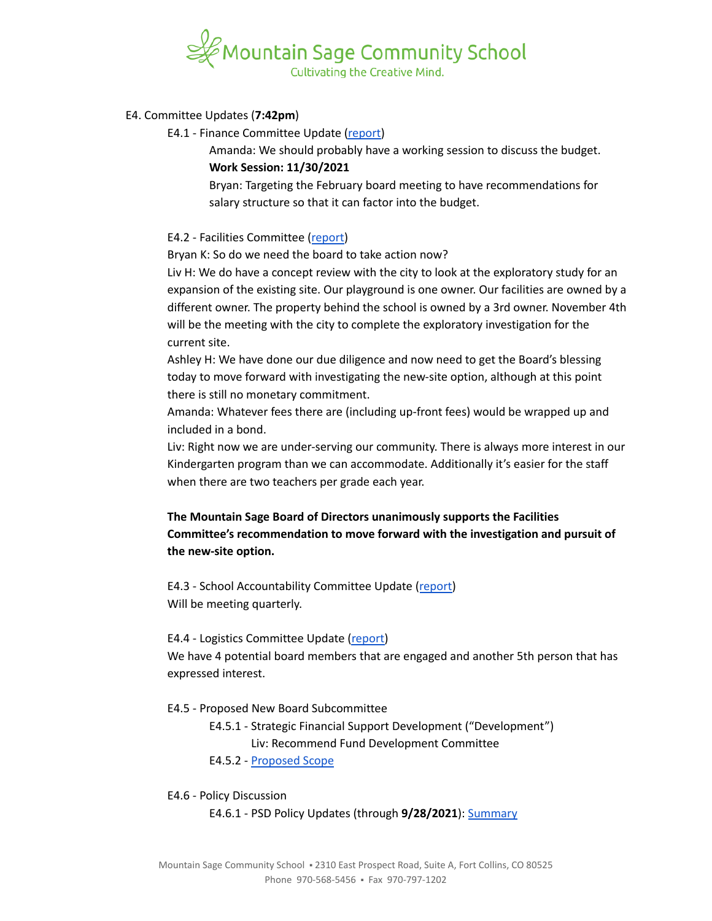

#### E4. Committee Updates (**7:42pm**)

E4.1 - Finance Committee Update [\(report\)](https://docs.google.com/document/d/1Gfqp_afAWCZqySZ5OiKhPwzi8Bixt2blVQZAnDNyV_I)

Amanda: We should probably have a working session to discuss the budget. **Work Session: 11/30/2021**

Bryan: Targeting the February board meeting to have recommendations for salary structure so that it can factor into the budget.

#### E4.2 - Facilities Committee ([report](https://docs.google.com/document/d/1rLnIolyCkrxNsoDlVoVtzI-zeEI0T17xI0EBeJvQf8Y))

Bryan K: So do we need the board to take action now?

Liv H: We do have a concept review with the city to look at the exploratory study for an expansion of the existing site. Our playground is one owner. Our facilities are owned by a different owner. The property behind the school is owned by a 3rd owner. November 4th will be the meeting with the city to complete the exploratory investigation for the current site.

Ashley H: We have done our due diligence and now need to get the Board's blessing today to move forward with investigating the new-site option, although at this point there is still no monetary commitment.

Amanda: Whatever fees there are (including up-front fees) would be wrapped up and included in a bond.

Liv: Right now we are under-serving our community. There is always more interest in our Kindergarten program than we can accommodate. Additionally it's easier for the staff when there are two teachers per grade each year.

# **The Mountain Sage Board of Directors unanimously supports the Facilities Committee's recommendation to move forward with the investigation and pursuit of the new-site option.**

E4.3 - School Accountability Committee Update ([report\)](https://docs.google.com/document/d/18QzSNTGZzBrxCOtx7-8-WwmggV5kNnK0u_bPDgFpaa8) Will be meeting quarterly.

#### E4.4 - Logistics Committee Update [\(report\)](https://docs.google.com/document/d/1GMHRhv_DyFIMGJ3VNmIkU-qw7CGW-PgFvzQ7vZpeNT8)

We have 4 potential board members that are engaged and another 5th person that has expressed interest.

#### E4.5 - Proposed New Board Subcommittee

E4.5.1 - Strategic Financial Support Development ("Development") Liv: Recommend Fund Development Committee

E4.5.2 - [Proposed](https://docs.google.com/document/d/1jifgcnNsSzEd0GxZFqiet3nIi3DW6eZm/edit) Scope

#### E4.6 - Policy Discussion

E4.6.1 - PSD Policy Updates (through **9/28/2021**): [Summary](https://docs.google.com/document/d/1BtbhKY-c0rxU3eKa5LUSQoUEK-rxUo3JE9n13l0L5xU)